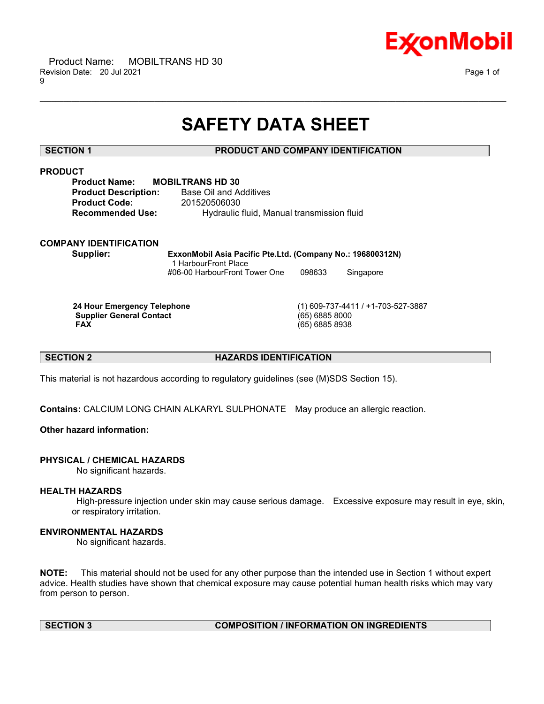

# **SAFETY DATA SHEET**

\_\_\_\_\_\_\_\_\_\_\_\_\_\_\_\_\_\_\_\_\_\_\_\_\_\_\_\_\_\_\_\_\_\_\_\_\_\_\_\_\_\_\_\_\_\_\_\_\_\_\_\_\_\_\_\_\_\_\_\_\_\_\_\_\_\_\_\_\_\_\_\_\_\_\_\_\_\_\_\_\_\_\_\_\_\_\_\_\_\_\_\_\_\_\_\_\_\_\_\_\_\_\_\_\_\_\_\_\_\_\_\_\_\_\_\_\_\_

# **SECTION 1 PRODUCT AND COMPANY IDENTIFICATION**

# **PRODUCT**

| <b>Product Name:</b>        | <b>MOBILTRANS HD 30</b>                    |
|-----------------------------|--------------------------------------------|
| <b>Product Description:</b> | Base Oil and Additives                     |
| <b>Product Code:</b>        | 201520506030                               |
| <b>Recommended Use:</b>     | Hydraulic fluid, Manual transmission fluid |

# **COMPANY IDENTIFICATION**

**Supplier: ExxonMobil Asia Pacific Pte.Ltd. (Company No.: 196800312N)** 1 HarbourFront Place #06-00 HarbourFront Tower One 098633 Singapore

**Supplier General Contact** (65) 6885 8000

**24 Hour Emergency Telephone** (1) 609-737-4411 / +1-703-527-3887 **FAX** (65) 6885 8938

# **SECTION 2 HAZARDS IDENTIFICATION**

This material is not hazardous according to regulatory guidelines (see (M)SDS Section 15).

**Contains:** CALCIUM LONG CHAIN ALKARYL SULPHONATE May produce an allergic reaction.

# **Other hazard information:**

# **PHYSICAL / CHEMICAL HAZARDS**

No significant hazards.

# **HEALTH HAZARDS**

High-pressure injection under skin may cause serious damage. Excessive exposure may result in eye, skin, or respiratory irritation.

# **ENVIRONMENTAL HAZARDS**

No significant hazards.

**NOTE:** This material should not be used for any other purpose than the intended use in Section 1 without expert advice. Health studies have shown that chemical exposure may cause potential human health risks which may vary from person to person.

# **SECTION 3 COMPOSITION / INFORMATION ON INGREDIENTS**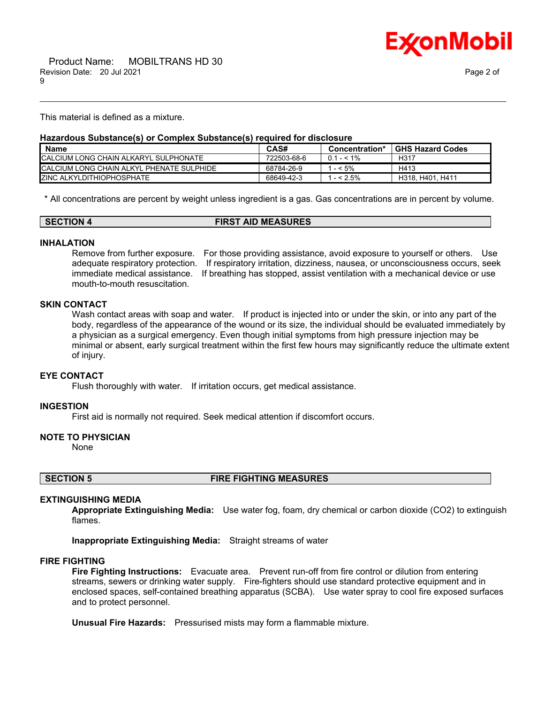

This material is defined as a mixture.

# **Hazardous Substance(s) or Complex Substance(s) required for disclosure**

| <b>Name</b>                                | CAS#        | Concentration* | <b>GHS Hazard Codes</b> |
|--------------------------------------------|-------------|----------------|-------------------------|
| CALCIUM LONG CHAIN ALKARYL SULPHONATE      | 722503-68-6 | $0.1 - 5.1\%$  | H317                    |
| ICALCIUM LONG CHAIN ALKYL PHENATE SULPHIDE | 68784-26-9  | $-5%$          | H413                    |
| <b>IZINC ALKYLDITHIOPHOSPHATE</b>          | 68649-42-3  | $- < 2.5\%$    | . H411<br>H318, H401.   |

\_\_\_\_\_\_\_\_\_\_\_\_\_\_\_\_\_\_\_\_\_\_\_\_\_\_\_\_\_\_\_\_\_\_\_\_\_\_\_\_\_\_\_\_\_\_\_\_\_\_\_\_\_\_\_\_\_\_\_\_\_\_\_\_\_\_\_\_\_\_\_\_\_\_\_\_\_\_\_\_\_\_\_\_\_\_\_\_\_\_\_\_\_\_\_\_\_\_\_\_\_\_\_\_\_\_\_\_\_\_\_\_\_\_\_\_\_\_

\* All concentrations are percent by weight unless ingredient is a gas. Gas concentrations are in percent by volume.

| <b>SECTION 4</b> | <b>FIRST AID MEASURES</b> |
|------------------|---------------------------|
|                  |                           |

### **INHALATION**

Remove from further exposure. For those providing assistance, avoid exposure to yourself or others. Use adequate respiratory protection. If respiratory irritation, dizziness, nausea, or unconsciousness occurs, seek immediate medical assistance. If breathing has stopped, assist ventilation with a mechanical device or use mouth-to-mouth resuscitation.

# **SKIN CONTACT**

Wash contact areas with soap and water. If product is injected into or under the skin, or into any part of the body, regardless of the appearance of the wound or its size, the individual should be evaluated immediately by a physician as a surgical emergency. Even though initial symptoms from high pressure injection may be minimal or absent, early surgical treatment within the first few hours may significantly reduce the ultimate extent of injury.

### **EYE CONTACT**

Flush thoroughly with water. If irritation occurs, get medical assistance.

### **INGESTION**

First aid is normally not required. Seek medical attention if discomfort occurs.

### **NOTE TO PHYSICIAN**

None

**SECTION 5 FIRE FIGHTING MEASURES**

# **EXTINGUISHING MEDIA**

**Appropriate Extinguishing Media:** Use water fog, foam, dry chemical or carbon dioxide (CO2) to extinguish flames.

**Inappropriate Extinguishing Media:** Straight streams of water

### **FIRE FIGHTING**

**Fire Fighting Instructions:** Evacuate area. Prevent run-off from fire control or dilution from entering streams, sewers or drinking water supply. Fire-fighters should use standard protective equipment and in enclosed spaces, self-contained breathing apparatus (SCBA). Use water spray to cool fire exposed surfaces and to protect personnel.

**Unusual Fire Hazards:** Pressurised mists may form a flammable mixture.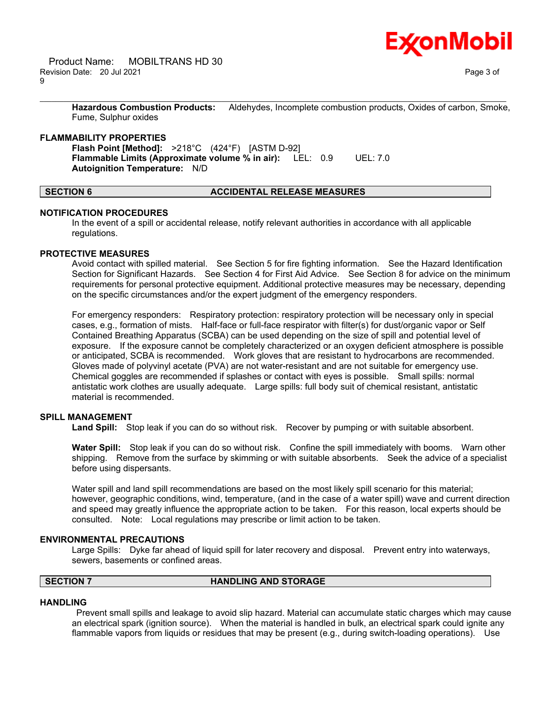**Hazardous Combustion Products:** Aldehydes, Incomplete combustion products, Oxides of carbon, Smoke, Fume, Sulphur oxides

\_\_\_\_\_\_\_\_\_\_\_\_\_\_\_\_\_\_\_\_\_\_\_\_\_\_\_\_\_\_\_\_\_\_\_\_\_\_\_\_\_\_\_\_\_\_\_\_\_\_\_\_\_\_\_\_\_\_\_\_\_\_\_\_\_\_\_\_\_\_\_\_\_\_\_\_\_\_\_\_\_\_\_\_\_\_\_\_\_\_\_\_\_\_\_\_\_\_\_\_\_\_\_\_\_\_\_\_\_\_\_\_\_\_\_\_\_\_

# **FLAMMABILITY PROPERTIES**

**Flash Point [Method]:** >218°C (424°F) [ASTM D-92] **Flammable Limits (Approximate volume % in air):** LEL: 0.9 UEL: 7.0 **Autoignition Temperature:** N/D

# **SECTION 6 ACCIDENTAL RELEASE MEASURES**

# **NOTIFICATION PROCEDURES**

In the event of a spill or accidental release, notify relevant authorities in accordance with all applicable regulations.

# **PROTECTIVE MEASURES**

Avoid contact with spilled material. See Section 5 for fire fighting information. See the Hazard Identification Section for Significant Hazards. See Section 4 for First Aid Advice. See Section 8 for advice on the minimum requirements for personal protective equipment. Additional protective measures may be necessary, depending on the specific circumstances and/or the expert judgment of the emergency responders.

For emergency responders: Respiratory protection: respiratory protection will be necessary only in special cases, e.g., formation of mists. Half-face or full-face respirator with filter(s) for dust/organic vapor or Self Contained Breathing Apparatus (SCBA) can be used depending on the size of spill and potential level of exposure. If the exposure cannot be completely characterized or an oxygen deficient atmosphere is possible or anticipated, SCBA is recommended. Work gloves that are resistant to hydrocarbons are recommended. Gloves made of polyvinyl acetate (PVA) are not water-resistant and are not suitable for emergency use. Chemical goggles are recommended if splashes or contact with eyes is possible. Small spills: normal antistatic work clothes are usually adequate. Large spills: full body suit of chemical resistant, antistatic material is recommended.

# **SPILL MANAGEMENT**

**Land Spill:** Stop leak if you can do so without risk. Recover by pumping or with suitable absorbent.

**Water Spill:** Stop leak if you can do so without risk. Confine the spill immediately with booms. Warn other shipping. Remove from the surface by skimming or with suitable absorbents. Seek the advice of a specialist before using dispersants.

Water spill and land spill recommendations are based on the most likely spill scenario for this material; however, geographic conditions, wind, temperature, (and in the case of a water spill) wave and current direction and speed may greatly influence the appropriate action to be taken. For this reason, local experts should be consulted. Note: Local regulations may prescribe or limit action to be taken.

### **ENVIRONMENTAL PRECAUTIONS**

Large Spills: Dyke far ahead of liquid spill for later recovery and disposal. Prevent entry into waterways, sewers, basements or confined areas.

# **SECTION 7 HANDLING AND STORAGE**

# **HANDLING**

Prevent small spills and leakage to avoid slip hazard. Material can accumulate static charges which may cause an electrical spark (ignition source). When the material is handled in bulk, an electrical spark could ignite any flammable vapors from liquids or residues that may be present (e.g., during switch-loading operations). Use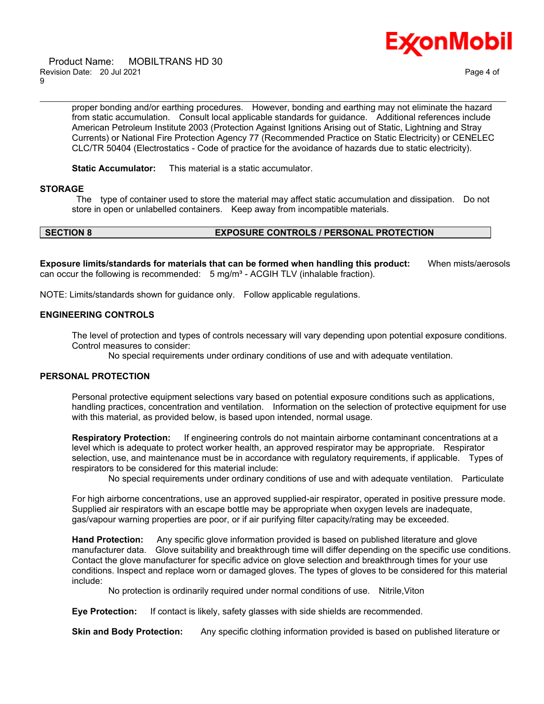

 Product Name: MOBILTRANS HD 30 Revision Date: 20 Jul 2021 Page 4 of 9

proper bonding and/or earthing procedures. However, bonding and earthing may not eliminate the hazard from static accumulation. Consult local applicable standards for guidance. Additional references include American Petroleum Institute 2003 (Protection Against Ignitions Arising out of Static, Lightning and Stray Currents) or National Fire Protection Agency 77 (Recommended Practice on Static Electricity) or CENELEC CLC/TR 50404 (Electrostatics - Code of practice for the avoidance of hazards due to static electricity).

\_\_\_\_\_\_\_\_\_\_\_\_\_\_\_\_\_\_\_\_\_\_\_\_\_\_\_\_\_\_\_\_\_\_\_\_\_\_\_\_\_\_\_\_\_\_\_\_\_\_\_\_\_\_\_\_\_\_\_\_\_\_\_\_\_\_\_\_\_\_\_\_\_\_\_\_\_\_\_\_\_\_\_\_\_\_\_\_\_\_\_\_\_\_\_\_\_\_\_\_\_\_\_\_\_\_\_\_\_\_\_\_\_\_\_\_\_\_

**Static Accumulator:** This material is a static accumulator.

# **STORAGE**

The type of container used to store the material may affect static accumulation and dissipation. Do not store in open or unlabelled containers. Keep away from incompatible materials.

# **SECTION 8 EXPOSURE CONTROLS / PERSONAL PROTECTION**

**Exposure limits/standards for materials that can be formed when handling this product:** When mists/aerosols can occur the following is recommended:  $5 \text{ mg/m}^3$  - ACGIH TLV (inhalable fraction).

NOTE: Limits/standards shown for guidance only. Follow applicable regulations.

# **ENGINEERING CONTROLS**

The level of protection and types of controls necessary will vary depending upon potential exposure conditions. Control measures to consider:

No special requirements under ordinary conditions of use and with adequate ventilation.

# **PERSONAL PROTECTION**

Personal protective equipment selections vary based on potential exposure conditions such as applications, handling practices, concentration and ventilation. Information on the selection of protective equipment for use with this material, as provided below, is based upon intended, normal usage.

**Respiratory Protection:** If engineering controls do not maintain airborne contaminant concentrations at a level which is adequate to protect worker health, an approved respirator may be appropriate. Respirator selection, use, and maintenance must be in accordance with regulatory requirements, if applicable. Types of respirators to be considered for this material include:

No special requirements under ordinary conditions of use and with adequate ventilation. Particulate

For high airborne concentrations, use an approved supplied-air respirator, operated in positive pressure mode. Supplied air respirators with an escape bottle may be appropriate when oxygen levels are inadequate, gas/vapour warning properties are poor, or if air purifying filter capacity/rating may be exceeded.

**Hand Protection:** Any specific glove information provided is based on published literature and glove manufacturer data. Glove suitability and breakthrough time will differ depending on the specific use conditions. Contact the glove manufacturer for specific advice on glove selection and breakthrough times for your use conditions. Inspect and replace worn or damaged gloves. The types of gloves to be considered for this material include:

No protection is ordinarily required under normal conditions of use. Nitrile,Viton

**Eye Protection:** If contact is likely, safety glasses with side shields are recommended.

**Skin and Body Protection:** Any specific clothing information provided is based on published literature or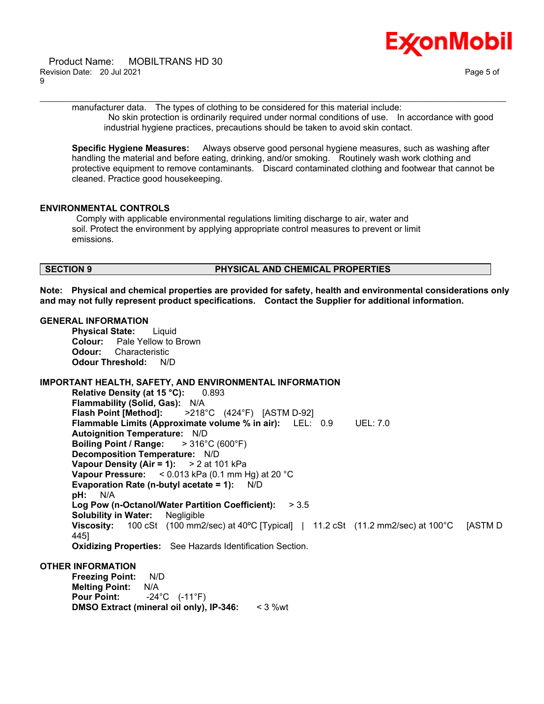

 Product Name: MOBILTRANS HD 30 Revision Date: 20 Jul 2021 20:00 20:00 Page 5 of 9

manufacturer data. The types of clothing to be considered for this material include: No skin protection is ordinarily required under normal conditions of use. In accordance with good industrial hygiene practices, precautions should be taken to avoid skin contact.

\_\_\_\_\_\_\_\_\_\_\_\_\_\_\_\_\_\_\_\_\_\_\_\_\_\_\_\_\_\_\_\_\_\_\_\_\_\_\_\_\_\_\_\_\_\_\_\_\_\_\_\_\_\_\_\_\_\_\_\_\_\_\_\_\_\_\_\_\_\_\_\_\_\_\_\_\_\_\_\_\_\_\_\_\_\_\_\_\_\_\_\_\_\_\_\_\_\_\_\_\_\_\_\_\_\_\_\_\_\_\_\_\_\_\_\_\_\_

**Specific Hygiene Measures:** Always observe good personal hygiene measures, such as washing after handling the material and before eating, drinking, and/or smoking. Routinely wash work clothing and protective equipment to remove contaminants. Discard contaminated clothing and footwear that cannot be cleaned. Practice good housekeeping.

# **ENVIRONMENTAL CONTROLS**

Comply with applicable environmental regulations limiting discharge to air, water and soil. Protect the environment by applying appropriate control measures to prevent or limit emissions.

### **SECTION 9 PHYSICAL AND CHEMICAL PROPERTIES**

**Note: Physical and chemical properties are provided for safety, health and environmental considerations only and may not fully represent product specifications. Contact the Supplier for additional information.**

### **GENERAL INFORMATION**

**Physical State:** Liquid **Colour:** Pale Yellow to Brown **Odour:** Characteristic **Odour Threshold:** N/D

# **IMPORTANT HEALTH, SAFETY, AND ENVIRONMENTAL INFORMATION**

**Relative Density (at 15 °C):** 0.893 **Flammability (Solid, Gas):** N/A **Flash Point [Method]:** >218°C (424°F) [ASTM D-92] **Flammable Limits (Approximate volume % in air):** LEL: 0.9 UEL: 7.0 **Autoignition Temperature:** N/D **Boiling Point / Range:** > 316°C (600°F) **Decomposition Temperature:** N/D **Vapour Density (Air = 1):** > 2 at 101 kPa **Vapour Pressure:** < 0.013 kPa (0.1 mm Hg) at 20 °C **Evaporation Rate (n-butyl acetate = 1):** N/D **pH:** N/A **Log Pow (n-Octanol/Water Partition Coefficient):** > 3.5 **Solubility in Water:** Negligible **Viscosity:** 100 cSt (100 mm2/sec) at 40ºC [Typical] | 11.2 cSt (11.2 mm2/sec) at 100°C [ASTM D 445] **Oxidizing Properties:** See Hazards Identification Section.

### **OTHER INFORMATION**

**Freezing Point:** N/D **Melting Point:** N/A **Pour Point:** -24°C (-11°F) **DMSO Extract (mineral oil only), IP-346:** < 3 %wt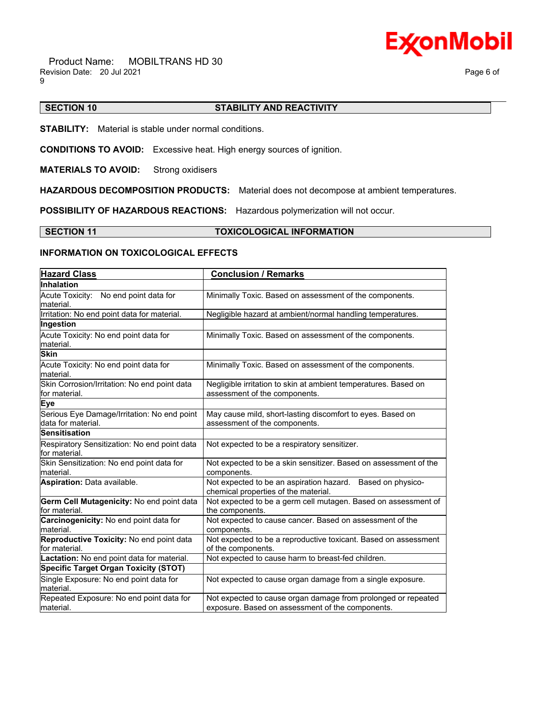

#### \_\_\_\_\_\_\_\_\_\_\_\_\_\_\_\_\_\_\_\_\_\_\_\_\_\_\_\_\_\_\_\_\_\_\_\_\_\_\_\_\_\_\_\_\_\_\_\_\_\_\_\_\_\_\_\_\_\_\_\_\_\_\_\_\_\_\_\_\_\_\_\_\_\_\_\_\_\_\_\_\_\_\_\_\_\_\_\_\_\_\_\_\_\_\_\_\_\_\_\_\_\_\_\_\_\_\_\_\_\_\_\_\_\_\_\_\_\_ **SECTION 10 STABILITY AND REACTIVITY**

**STABILITY:** Material is stable under normal conditions.

**CONDITIONS TO AVOID:** Excessive heat. High energy sources of ignition.

**MATERIALS TO AVOID:** Strong oxidisers

**HAZARDOUS DECOMPOSITION PRODUCTS:** Material does not decompose at ambient temperatures.

**POSSIBILITY OF HAZARDOUS REACTIONS:** Hazardous polymerization will not occur.

**SECTION 11 TOXICOLOGICAL INFORMATION**

# **INFORMATION ON TOXICOLOGICAL EFFECTS**

| <b>Hazard Class</b>                                               | <b>Conclusion / Remarks</b>                                                                                       |
|-------------------------------------------------------------------|-------------------------------------------------------------------------------------------------------------------|
| <b>Inhalation</b>                                                 |                                                                                                                   |
| Acute Toxicity: No end point data for<br>material.                | Minimally Toxic. Based on assessment of the components.                                                           |
| Irritation: No end point data for material.                       | Negligible hazard at ambient/normal handling temperatures.                                                        |
| Ingestion                                                         |                                                                                                                   |
| Acute Toxicity: No end point data for<br>material.                | Minimally Toxic. Based on assessment of the components.                                                           |
| <b>Skin</b>                                                       |                                                                                                                   |
| Acute Toxicity: No end point data for<br>material.                | Minimally Toxic. Based on assessment of the components.                                                           |
| Skin Corrosion/Irritation: No end point data<br>for material.     | Negligible irritation to skin at ambient temperatures. Based on<br>assessment of the components.                  |
| <b>Eye</b>                                                        |                                                                                                                   |
| Serious Eye Damage/Irritation: No end point<br>data for material. | May cause mild, short-lasting discomfort to eyes. Based on<br>assessment of the components.                       |
| <b>Sensitisation</b>                                              |                                                                                                                   |
| Respiratory Sensitization: No end point data<br>for material.     | Not expected to be a respiratory sensitizer.                                                                      |
| Skin Sensitization: No end point data for<br>Imaterial.           | Not expected to be a skin sensitizer. Based on assessment of the<br>components.                                   |
| <b>Aspiration: Data available.</b>                                | Not expected to be an aspiration hazard. Based on physico-<br>chemical properties of the material.                |
| Germ Cell Mutagenicity: No end point data<br>for material.        | Not expected to be a germ cell mutagen. Based on assessment of<br>the components.                                 |
| Carcinogenicity: No end point data for<br>material.               | Not expected to cause cancer. Based on assessment of the<br>components.                                           |
| Reproductive Toxicity: No end point data<br>for material.         | Not expected to be a reproductive toxicant. Based on assessment<br>of the components.                             |
| Lactation: No end point data for material.                        | Not expected to cause harm to breast-fed children.                                                                |
| <b>Specific Target Organ Toxicity (STOT)</b>                      |                                                                                                                   |
| Single Exposure: No end point data for<br>material.               | Not expected to cause organ damage from a single exposure.                                                        |
| Repeated Exposure: No end point data for<br>material.             | Not expected to cause organ damage from prolonged or repeated<br>exposure. Based on assessment of the components. |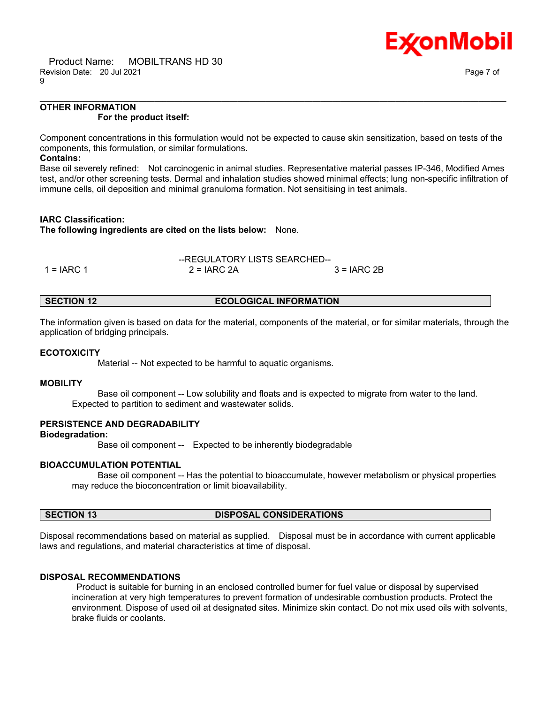

# **OTHER INFORMATION For the product itself:**

Component concentrations in this formulation would not be expected to cause skin sensitization, based on tests of the components, this formulation, or similar formulations.

\_\_\_\_\_\_\_\_\_\_\_\_\_\_\_\_\_\_\_\_\_\_\_\_\_\_\_\_\_\_\_\_\_\_\_\_\_\_\_\_\_\_\_\_\_\_\_\_\_\_\_\_\_\_\_\_\_\_\_\_\_\_\_\_\_\_\_\_\_\_\_\_\_\_\_\_\_\_\_\_\_\_\_\_\_\_\_\_\_\_\_\_\_\_\_\_\_\_\_\_\_\_\_\_\_\_\_\_\_\_\_\_\_\_\_\_\_\_

## **Contains:**

Base oil severely refined: Not carcinogenic in animal studies. Representative material passes IP-346, Modified Ames test, and/or other screening tests. Dermal and inhalation studies showed minimal effects; lung non-specific infiltration of immune cells, oil deposition and minimal granuloma formation. Not sensitising in test animals.

# **IARC Classification:**

**The following ingredients are cited on the lists below:** None.

$$
-REGULATION Y LISTS SEARCHED-1 = IARC 1
$$
 2 = IARC 2A 3 = IARC 2B

# **SECTION 12 ECOLOGICAL INFORMATION**

The information given is based on data for the material, components of the material, or for similar materials, through the application of bridging principals.

# **ECOTOXICITY**

Material -- Not expected to be harmful to aquatic organisms.

# **MOBILITY**

 Base oil component -- Low solubility and floats and is expected to migrate from water to the land. Expected to partition to sediment and wastewater solids.

# **PERSISTENCE AND DEGRADABILITY**

**Biodegradation:**

Base oil component -- Expected to be inherently biodegradable

# **BIOACCUMULATION POTENTIAL**

 Base oil component -- Has the potential to bioaccumulate, however metabolism or physical properties may reduce the bioconcentration or limit bioavailability.

# **SECTION 13 DISPOSAL CONSIDERATIONS**

Disposal recommendations based on material as supplied. Disposal must be in accordance with current applicable laws and regulations, and material characteristics at time of disposal.

# **DISPOSAL RECOMMENDATIONS**

Product is suitable for burning in an enclosed controlled burner for fuel value or disposal by supervised incineration at very high temperatures to prevent formation of undesirable combustion products. Protect the environment. Dispose of used oil at designated sites. Minimize skin contact. Do not mix used oils with solvents, brake fluids or coolants.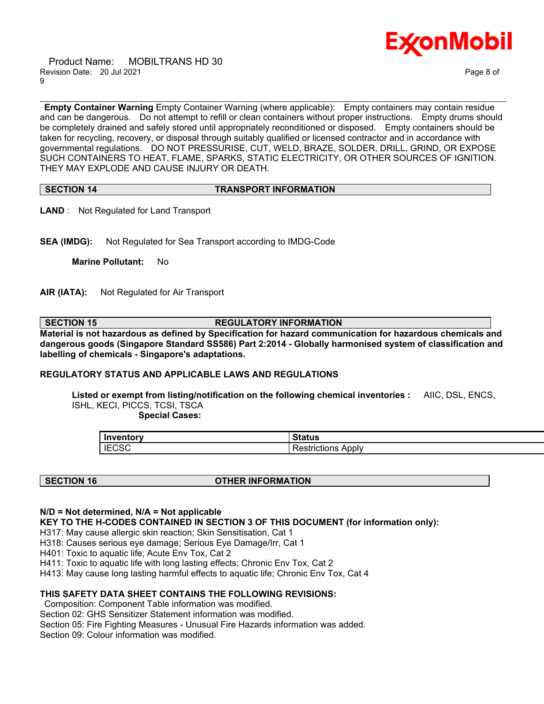Product Name: MOBILTRANS HD 30 Revision Date: 20 Jul 2021 20:00 20:00 Page 8 of 9



**Empty Container Warning** Empty Container Warning (where applicable): Empty containers may contain residue and can be dangerous. Do not attempt to refill or clean containers without proper instructions. Empty drums should be completely drained and safely stored until appropriately reconditioned or disposed. Empty containers should be taken for recycling, recovery, or disposal through suitably qualified or licensed contractor and in accordance with governmental regulations. DO NOT PRESSURISE, CUT, WELD, BRAZE, SOLDER, DRILL, GRIND, OR EXPOSE SUCH CONTAINERS TO HEAT, FLAME, SPARKS, STATIC ELECTRICITY, OR OTHER SOURCES OF IGNITION. THEY MAY EXPLODE AND CAUSE INJURY OR DEATH.

\_\_\_\_\_\_\_\_\_\_\_\_\_\_\_\_\_\_\_\_\_\_\_\_\_\_\_\_\_\_\_\_\_\_\_\_\_\_\_\_\_\_\_\_\_\_\_\_\_\_\_\_\_\_\_\_\_\_\_\_\_\_\_\_\_\_\_\_\_\_\_\_\_\_\_\_\_\_\_\_\_\_\_\_\_\_\_\_\_\_\_\_\_\_\_\_\_\_\_\_\_\_\_\_\_\_\_\_\_\_\_\_\_\_\_\_\_\_

# **SECTION 14 TRANSPORT INFORMATION**

**LAND** : Not Regulated for Land Transport

**SEA (IMDG):** Not Regulated for Sea Transport according to IMDG-Code

**Marine Pollutant:** No

**AIR (IATA):** Not Regulated for Air Transport

**SECTION 15 REGULATORY INFORMATION**

**Material is not hazardous as defined by Specification for hazard communication for hazardous chemicals and dangerous goods (Singapore Standard SS586) Part 2:2014 - Globally harmonised system of classification and labelling of chemicals - Singapore's adaptations.**

# **REGULATORY STATUS AND APPLICABLE LAWS AND REGULATIONS**

**Listed or exempt from listing/notification on the following chemical inventories :** AIIC, DSL, ENCS, ISHL, KECI, PICCS, TCSI, TSCA

 **Special Cases:**

| <b>Inventory</b> | $\sim$ $\sim$ $\sim$ $\sim$ $\sim$<br>nauus |
|------------------|---------------------------------------------|
| <b>IECSC</b>     | Apply<br>`strictions                        |

# **SECTION 16 OTHER INFORMATION**

# **N/D = Not determined, N/A = Not applicable**

**KEY TO THE H-CODES CONTAINED IN SECTION 3 OF THIS DOCUMENT (for information only):**

H317: May cause allergic skin reaction; Skin Sensitisation, Cat 1

H318: Causes serious eye damage; Serious Eye Damage/Irr, Cat 1

H401: Toxic to aquatic life; Acute Env Tox, Cat 2

H411: Toxic to aquatic life with long lasting effects; Chronic Env Tox, Cat 2

H413: May cause long lasting harmful effects to aquatic life; Chronic Env Tox, Cat 4

# **THIS SAFETY DATA SHEET CONTAINS THE FOLLOWING REVISIONS:**

Composition: Component Table information was modified. Section 02: GHS Sensitizer Statement information was modified. Section 05: Fire Fighting Measures - Unusual Fire Hazards information was added. Section 09: Colour information was modified.